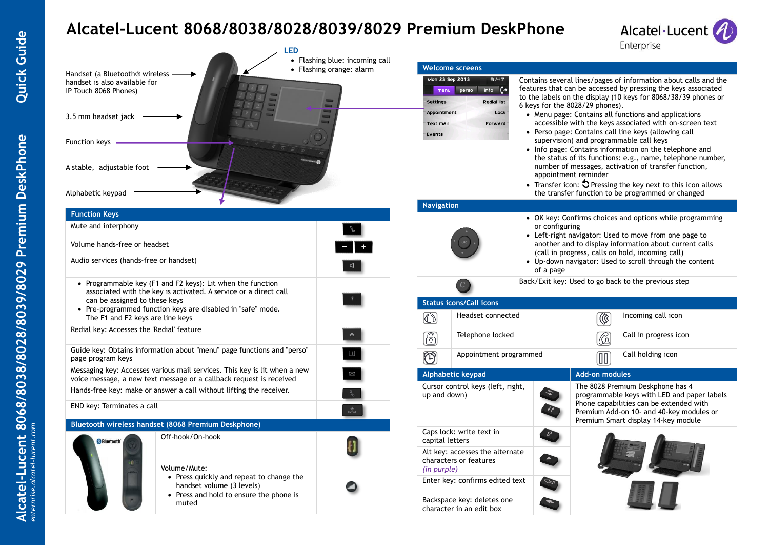# **Alcatel-Lucent 8068/8038/8028/8039/8029 Premium DeskPhone**



| <b>LED</b>                                                                                                                                                      | • Flashing blue: incoming call |                                                                          |                                                                                                                             |                                 |                       | <b>Ellei brise</b>                                                                                                                                                                                                                                                                                                                                                                                            |
|-----------------------------------------------------------------------------------------------------------------------------------------------------------------|--------------------------------|--------------------------------------------------------------------------|-----------------------------------------------------------------------------------------------------------------------------|---------------------------------|-----------------------|---------------------------------------------------------------------------------------------------------------------------------------------------------------------------------------------------------------------------------------------------------------------------------------------------------------------------------------------------------------------------------------------------------------|
| Handset (a Bluetooth® wireless<br>handset is also available for<br>IP Touch 8068 Phones)<br>3.5 mm headset jack -                                               | • Flashing orange: alarm       | Mon 23 Sep 2013<br><b>Settings</b><br>Appointment<br>Text mail           | <b>Welcome screens</b><br>9:47<br>info $\left\{ \rightarrow \right.$<br>menu perso<br><b>Redial list</b><br>Lock<br>Forward | 6 keys for the 8028/29 phones). |                       | Contains several lines/pages of information about calls and the<br>features that can be accessed by pressing the keys associated<br>to the labels on the display (10 keys for 8068/38/39 phones or<br>• Menu page: Contains all functions and applications<br>accessible with the keys associated with on-screen text                                                                                         |
| Function keys -<br>A stable, adjustable foot<br>Alphabetic keypad                                                                                               |                                | Events                                                                   |                                                                                                                             |                                 | appointment reminder  | • Perso page: Contains call line keys (allowing call<br>supervision) and programmable call keys<br>• Info page: Contains information on the telephone and<br>the status of its functions: e.g., name, telephone number,<br>number of messages, activation of transfer function,<br>• Transfer icon: $\bigcirc$ Pressing the key next to this icon allows<br>the transfer function to be programmed or changed |
|                                                                                                                                                                 |                                | <b>Navigation</b>                                                        |                                                                                                                             |                                 |                       |                                                                                                                                                                                                                                                                                                                                                                                                               |
| <b>Function Keys</b><br>Mute and interphony                                                                                                                     |                                |                                                                          |                                                                                                                             | or configuring                  |                       | • OK key: Confirms choices and options while programming<br>• Left-right navigator: Used to move from one page to                                                                                                                                                                                                                                                                                             |
| Volume hands-free or headset<br>Audio services (hands-free or handset)                                                                                          |                                |                                                                          |                                                                                                                             | of a page                       |                       | another and to display information about current calls<br>(call in progress, calls on hold, incoming call)<br>• Up-down navigator: Used to scroll through the content                                                                                                                                                                                                                                         |
| • Programmable key (F1 and F2 keys): Lit when the function<br>associated with the key is activated. A service or a direct call<br>can be assigned to these keys |                                |                                                                          | <b>Status icons/Call icons</b>                                                                                              |                                 |                       | Back/Exit key: Used to go back to the previous step                                                                                                                                                                                                                                                                                                                                                           |
| • Pre-programmed function keys are disabled in "safe" mode.<br>The F1 and F2 keys are line keys                                                                 |                                | O)                                                                       | Headset connected                                                                                                           |                                 | $\circledR$           | Incoming call icon                                                                                                                                                                                                                                                                                                                                                                                            |
| Redial key: Accesses the 'Redial' feature                                                                                                                       |                                | 6)                                                                       | Telephone locked                                                                                                            |                                 | $\circledR$           | Call in progress icon                                                                                                                                                                                                                                                                                                                                                                                         |
| Guide key: Obtains information about "menu" page functions and "perso"<br>page program keys                                                                     |                                | $\bigcirc$                                                               | Appointment programmed                                                                                                      |                                 | m                     | Call holding icon                                                                                                                                                                                                                                                                                                                                                                                             |
| Messaging key: Accesses various mail services. This key is lit when a new                                                                                       |                                |                                                                          | Alphabetic keypad                                                                                                           |                                 | <b>Add-on modules</b> |                                                                                                                                                                                                                                                                                                                                                                                                               |
| voice message, a new text message or a callback request is received<br>Hands-free key: make or answer a call without lifting the receiver.                      |                                | Cursor control keys (left, right,<br>up and down)                        |                                                                                                                             |                                 |                       | The 8028 Premium Deskphone has 4<br>programmable keys with LED and paper labels<br>Phone capabilities can be extended with                                                                                                                                                                                                                                                                                    |
| END key: Terminates a call                                                                                                                                      |                                |                                                                          |                                                                                                                             |                                 |                       | Premium Add-on 10- and 40-key modules or                                                                                                                                                                                                                                                                                                                                                                      |
| Bluetooth wireless handset (8068 Premium Deskphone)                                                                                                             |                                |                                                                          |                                                                                                                             |                                 |                       | Premium Smart display 14-key module                                                                                                                                                                                                                                                                                                                                                                           |
| Off-hook/On-hook<br><b>Bluetooth</b>                                                                                                                            |                                | Caps lock: write text in<br>capital letters                              |                                                                                                                             |                                 |                       |                                                                                                                                                                                                                                                                                                                                                                                                               |
| Volume/Mute:                                                                                                                                                    |                                | Alt key: accesses the alternate<br>characters or features<br>(in purple) |                                                                                                                             |                                 |                       |                                                                                                                                                                                                                                                                                                                                                                                                               |
| • Press quickly and repeat to change the<br>handset volume (3 levels)                                                                                           |                                | Enter key: confirms edited text                                          |                                                                                                                             |                                 |                       |                                                                                                                                                                                                                                                                                                                                                                                                               |
| • Press and hold to ensure the phone is<br>muted                                                                                                                |                                | Backspace key: deletes one<br>character in an edit box                   |                                                                                                                             |                                 |                       |                                                                                                                                                                                                                                                                                                                                                                                                               |